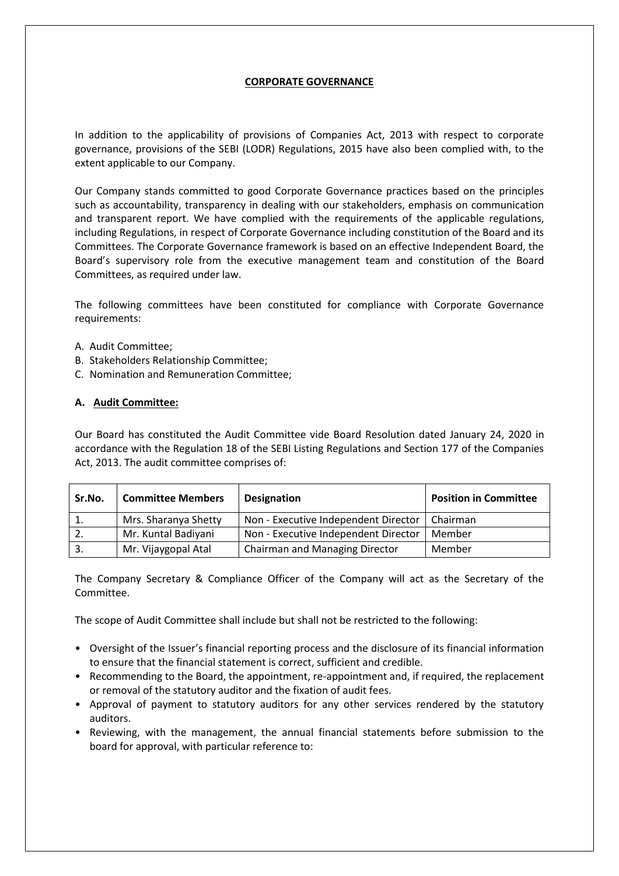# **CORPORATE GOVERNANCE**

In addition to the applicability of provisions of Companies Act, 2013 with respect to corporate governance, provisions of the SEBI (LODR) Regulations, 2015 have also been complied with, to the extent applicable to our Company.

Our Company stands committed to good Corporate Governance practices based on the principles such as accountability, transparency in dealing with our stakeholders, emphasis on communication and transparent report. We have complied with the requirements of the applicable regulations, including Regulations, in respect of Corporate Governance including constitution of the Board and its Committees. The Corporate Governance framework is based on an effective Independent Board, the Board's supervisory role from the executive management team and constitution of the Board Committees, as required under law.

The following committees have been constituted for compliance with Corporate Governance requirements:

- A. Audit Committee;
- B. Stakeholders Relationship Committee;
- C. Nomination and Remuneration Committee;

#### **A. Audit Committee:**

Our Board has constituted the Audit Committee vide Board Resolution dated January 24, 2020 in accordance with the Regulation 18 of the SEBI Listing Regulations and Section 177 of the Companies Act, 2013. The audit committee comprises of:

| Sr.No. | <b>Committee Members</b> | <b>Designation</b>                    | <b>Position in Committee</b> |
|--------|--------------------------|---------------------------------------|------------------------------|
|        | Mrs. Sharanya Shetty     | Non - Executive Independent Director  | l Chairman                   |
| 2.     | Mr. Kuntal Badiyani      | Non - Executive Independent Director  | Member                       |
| -3.    | Mr. Vijaygopal Atal      | <b>Chairman and Managing Director</b> | Member                       |

The Company Secretary & Compliance Officer of the Company will act as the Secretary of the Committee.

The scope of Audit Committee shall include but shall not be restricted to the following:

- Oversight of the Issuer's financial reporting process and the disclosure of its financial information to ensure that the financial statement is correct, sufficient and credible.
- Recommending to the Board, the appointment, re-appointment and, if required, the replacement or removal of the statutory auditor and the fixation of audit fees.
- Approval of payment to statutory auditors for any other services rendered by the statutory auditors.
- Reviewing, with the management, the annual financial statements before submission to the board for approval, with particular reference to: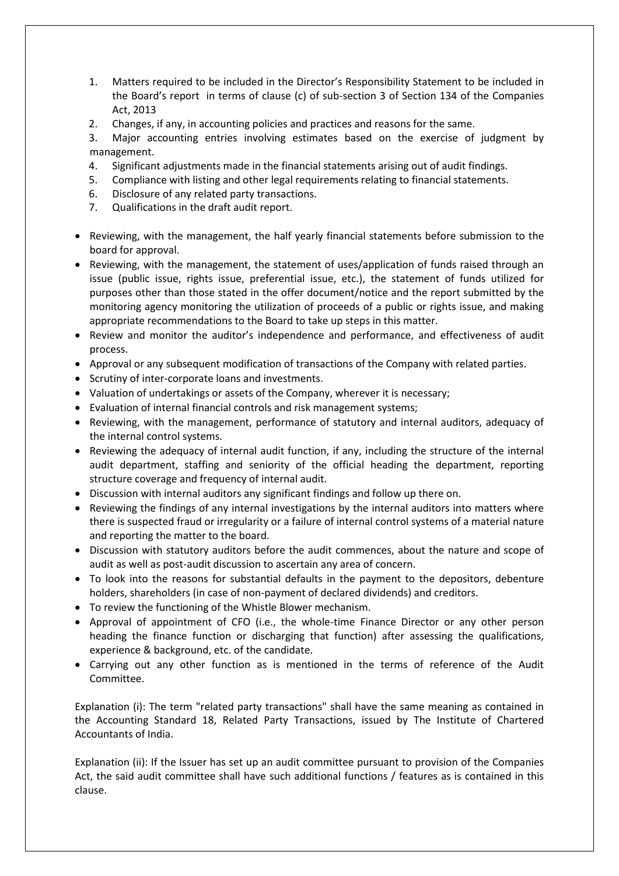- 1. Matters required to be included in the Director's Responsibility Statement to be included in the Board's report in terms of clause (c) of sub-section 3 of Section 134 of the Companies Act, 2013
- 2. Changes, if any, in accounting policies and practices and reasons for the same.
- 3. Major accounting entries involving estimates based on the exercise of judgment by management.
- 4. Significant adjustments made in the financial statements arising out of audit findings.
- 5. Compliance with listing and other legal requirements relating to financial statements.
- 6. Disclosure of any related party transactions.
- 7. Qualifications in the draft audit report.
- Reviewing, with the management, the half yearly financial statements before submission to the board for approval.
- Reviewing, with the management, the statement of uses/application of funds raised through an issue (public issue, rights issue, preferential issue, etc.), the statement of funds utilized for purposes other than those stated in the offer document/notice and the report submitted by the monitoring agency monitoring the utilization of proceeds of a public or rights issue, and making appropriate recommendations to the Board to take up steps in this matter.
- Review and monitor the auditor's independence and performance, and effectiveness of audit process.
- Approval or any subsequent modification of transactions of the Company with related parties.
- Scrutiny of inter-corporate loans and investments.
- Valuation of undertakings or assets of the Company, wherever it is necessary;
- Evaluation of internal financial controls and risk management systems;
- Reviewing, with the management, performance of statutory and internal auditors, adequacy of the internal control systems.
- Reviewing the adequacy of internal audit function, if any, including the structure of the internal audit department, staffing and seniority of the official heading the department, reporting structure coverage and frequency of internal audit.
- Discussion with internal auditors any significant findings and follow up there on.
- Reviewing the findings of any internal investigations by the internal auditors into matters where there is suspected fraud or irregularity or a failure of internal control systems of a material nature and reporting the matter to the board.
- Discussion with statutory auditors before the audit commences, about the nature and scope of audit as well as post-audit discussion to ascertain any area of concern.
- To look into the reasons for substantial defaults in the payment to the depositors, debenture holders, shareholders (in case of non-payment of declared dividends) and creditors.
- To review the functioning of the Whistle Blower mechanism.
- Approval of appointment of CFO (i.e., the whole-time Finance Director or any other person heading the finance function or discharging that function) after assessing the qualifications, experience & background, etc. of the candidate.
- Carrying out any other function as is mentioned in the terms of reference of the Audit Committee.

Explanation (i): The term "related party transactions" shall have the same meaning as contained in the Accounting Standard 18, Related Party Transactions, issued by The Institute of Chartered Accountants of India.

Explanation (ii): If the Issuer has set up an audit committee pursuant to provision of the Companies Act, the said audit committee shall have such additional functions / features as is contained in this clause.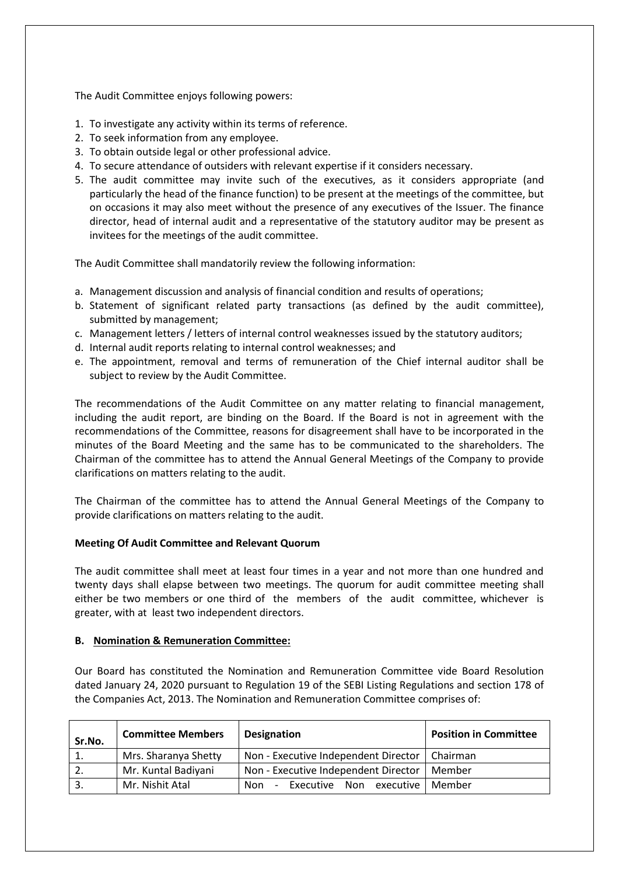The Audit Committee enjoys following powers:

- 1. To investigate any activity within its terms of reference.
- 2. To seek information from any employee.
- 3. To obtain outside legal or other professional advice.
- 4. To secure attendance of outsiders with relevant expertise if it considers necessary.
- 5. The audit committee may invite such of the executives, as it considers appropriate (and particularly the head of the finance function) to be present at the meetings of the committee, but on occasions it may also meet without the presence of any executives of the Issuer. The finance director, head of internal audit and a representative of the statutory auditor may be present as invitees for the meetings of the audit committee.

The Audit Committee shall mandatorily review the following information:

- a. Management discussion and analysis of financial condition and results of operations;
- b. Statement of significant related party transactions (as defined by the audit committee), submitted by management;
- c. Management letters / letters of internal control weaknesses issued by the statutory auditors;
- d. Internal audit reports relating to internal control weaknesses; and
- e. The appointment, removal and terms of remuneration of the Chief internal auditor shall be subject to review by the Audit Committee.

The recommendations of the Audit Committee on any matter relating to financial management, including the audit report, are binding on the Board. If the Board is not in agreement with the recommendations of the Committee, reasons for disagreement shall have to be incorporated in the minutes of the Board Meeting and the same has to be communicated to the shareholders. The Chairman of the committee has to attend the Annual General Meetings of the Company to provide clarifications on matters relating to the audit.

The Chairman of the committee has to attend the Annual General Meetings of the Company to provide clarifications on matters relating to the audit.

### **Meeting Of Audit Committee and Relevant Quorum**

The audit committee shall meet at least four times in a year and not more than one hundred and twenty days shall elapse between two meetings. The quorum for audit committee meeting shall either be two members or one third of the members of the audit committee, whichever is greater, with at least two independent directors.

### **B. Nomination & Remuneration Committee:**

Our Board has constituted the Nomination and Remuneration Committee vide Board Resolution dated January 24, 2020 pursuant to Regulation 19 of the SEBI Listing Regulations and section 178 of the Companies Act, 2013. The Nomination and Remuneration Committee comprises of:

| Sr.No. | <b>Committee Members</b> | <b>Designation</b>                   | <b>Position in Committee</b> |
|--------|--------------------------|--------------------------------------|------------------------------|
| 1.     | Mrs. Sharanya Shetty     | Non - Executive Independent Director | Chairman                     |
| 2.     | Mr. Kuntal Badiyani      | Non - Executive Independent Director | Member                       |
|        | Mr. Nishit Atal          | Executive Non executive<br>Non.      | Member                       |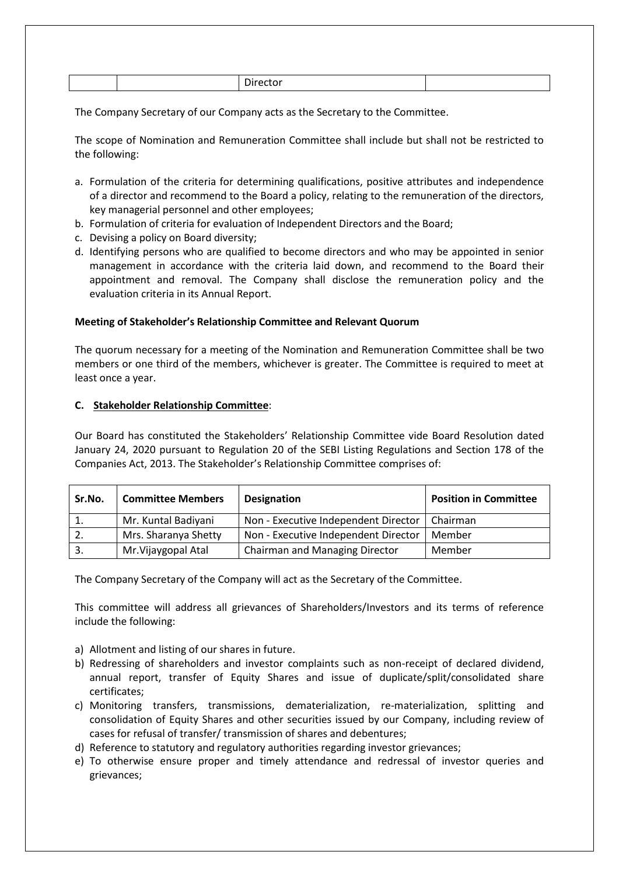|  | .<br>. |  |
|--|--------|--|
|  |        |  |

The Company Secretary of our Company acts as the Secretary to the Committee.

The scope of Nomination and Remuneration Committee shall include but shall not be restricted to the following:

- a. Formulation of the criteria for determining qualifications, positive attributes and independence of a director and recommend to the Board a policy, relating to the remuneration of the directors, key managerial personnel and other employees;
- b. Formulation of criteria for evaluation of Independent Directors and the Board;
- c. Devising a policy on Board diversity;
- d. Identifying persons who are qualified to become directors and who may be appointed in senior management in accordance with the criteria laid down, and recommend to the Board their appointment and removal. The Company shall disclose the remuneration policy and the evaluation criteria in its Annual Report.

### **Meeting of Stakeholder's Relationship Committee and Relevant Quorum**

The quorum necessary for a meeting of the Nomination and Remuneration Committee shall be two members or one third of the members, whichever is greater. The Committee is required to meet at least once a year.

#### **C. Stakeholder Relationship Committee**:

Our Board has constituted the Stakeholders' Relationship Committee vide Board Resolution dated January 24, 2020 pursuant to Regulation 20 of the SEBI Listing Regulations and Section 178 of the Companies Act, 2013. The Stakeholder's Relationship Committee comprises of:

| Sr.No. | <b>Committee Members</b> | <b>Designation</b>                    | <b>Position in Committee</b> |
|--------|--------------------------|---------------------------------------|------------------------------|
|        | Mr. Kuntal Badiyani      | Non - Executive Independent Director  | I Chairman                   |
|        | Mrs. Sharanya Shetty     | Non - Executive Independent Director  | Member                       |
| 3.     | Mr. Vijaygopal Atal      | <b>Chairman and Managing Director</b> | Member                       |

The Company Secretary of the Company will act as the Secretary of the Committee.

This committee will address all grievances of Shareholders/Investors and its terms of reference include the following:

- a) Allotment and listing of our shares in future.
- b) Redressing of shareholders and investor complaints such as non-receipt of declared dividend, annual report, transfer of Equity Shares and issue of duplicate/split/consolidated share certificates;
- c) Monitoring transfers, transmissions, dematerialization, re-materialization, splitting and consolidation of Equity Shares and other securities issued by our Company, including review of cases for refusal of transfer/ transmission of shares and debentures;
- d) Reference to statutory and regulatory authorities regarding investor grievances;
- e) To otherwise ensure proper and timely attendance and redressal of investor queries and grievances;